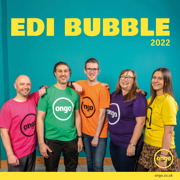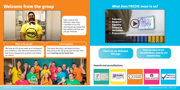## **Welcome from the group**

### **What does FREDIE mean to us?**



#### **Awards and accreditations**



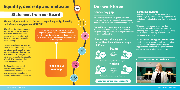# **Equality, diversity and inclusion**

### **Statement from our Board**

### **We are fully committed to fairness, respect, equality, diversity, inclusion and engagement (FREDIE).**

It is so important to us everyone has the right to fair and equal treatment, and we recognise people using our services and those working for us, come from diverse backgrounds.

The words we have used here are taken from our EDI policy - but we want to do much more than just have a set of words that you can read. We want to show you that we're truly committed to equality. After all, it's our actions that count and not our words.

Our Board has considered, debated and agreed a set of objectives and priorities that will help us to deliver our aims of equality and address inequalities.

So that we can make sure we're always improving, with FREDIE in the forefront of everything we do, we've put together a roadmap of where we are at the moment, and where we want to get to.

 $\binom{1}{0}$ 

岡

289

 $\mathbb{Q}$ 

**[Read our EDI](https://www.ongo.co.uk/media/4510/ongo-edi-document-2021-digi-art.pdf)  roadmap**

## **Our workforce**

### **Gender pay gap**

We publish our gender pay gap information every year. This is the average difference in pay received by the men and women employed by us.

This is different to equal pay, where men and women doing the same job are paid the same. Everyone doing the same job in Ongo receives the same pay and benefits.

**Our mean gender pay gap is better than the national average of 15.4%.**



#### **Increasing diversity**

We have signed up to the Housing Diversity Network's (HDN) Board Diversity Programme, as part of our mission to increase diversity at Board level.

This programme supports aspiring Board members from underrepresented groups in achieving their aspirations by providing training and mentoring to develop their skills and knowledge to get there.

The programme also supports us in our search for diverse Board members and, once recruited, in the induction, ongoing mentoring and support to ensure they offer a good contribution and we are able to retain the standard.

#### **Recruitment and workforce**